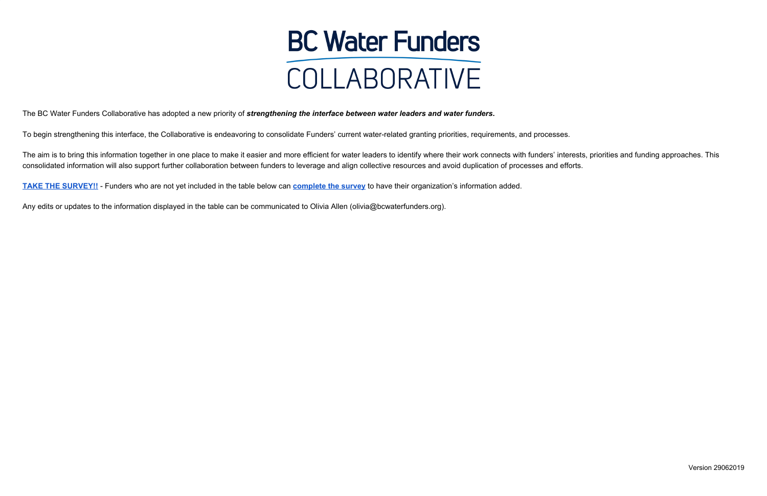## **BC Water Funders** COLLABORATIVE

The BC Water Funders Collaborative has adopted a new priority of *strengthening the interface between water leaders and water funders***.**

To begin strengthening this interface, the Collaborative is endeavoring to consolidate Funders' current water-related granting priorities, requirements, and processes.

The aim is to bring this information together in one place to make it easier and more efficient for water leaders to identify where their work connects with funders' interests, priorities and funding approaches. This consolidated information will also support further collaboration between funders to leverage and align collective resources and avoid duplication of processes and efforts.

**[TAKE THE SURVEY!!](https://www.surveymonkey.com/r/waterfundersurvey)** - Funders who are not yet included in the table below can **[complete the survey](https://www.surveymonkey.com/r/waterfundersurvey)** to have their organization's information added.

Any edits or updates to the information displayed in the table can be communicated to Olivia Allen (olivia@bcwaterfunders.org).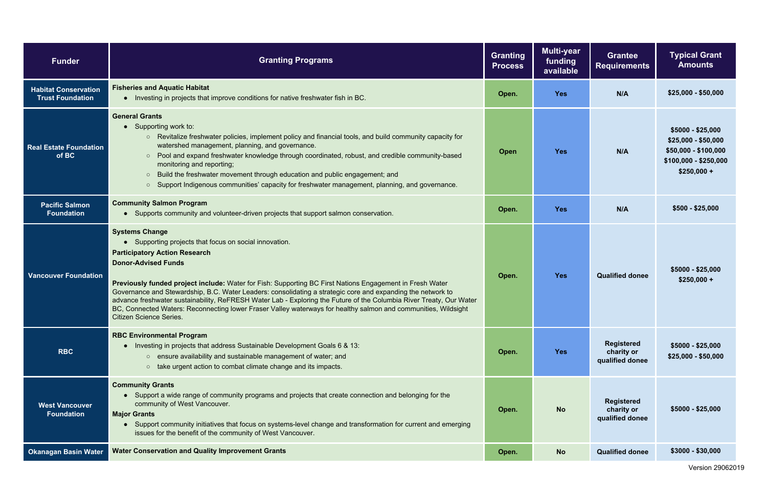| ranting<br><b>rocess</b> | <b>Multi-year</b><br>funding<br>available | <b>Grantee</b><br><b>Requirements</b>              | <b>Typical Grant</b><br><b>Amounts</b>                                                                    |
|--------------------------|-------------------------------------------|----------------------------------------------------|-----------------------------------------------------------------------------------------------------------|
| Open.                    | <b>Yes</b>                                | N/A                                                | $$25,000 - $50,000$                                                                                       |
| Open                     | <b>Yes</b>                                | N/A                                                | $$5000 - $25,000$<br>\$25,000 - \$50,000<br>\$50,000 - \$100,000<br>\$100,000 - \$250,000<br>$$250,000 +$ |
| Open.                    | <b>Yes</b>                                | N/A                                                | $$500 - $25,000$                                                                                          |
| Open.                    | <b>Yes</b>                                | <b>Qualified donee</b>                             | \$5000 - \$25,000<br>$$250,000 +$                                                                         |
| Open.                    | <b>Yes</b>                                | <b>Registered</b><br>charity or<br>qualified donee | \$5000 - \$25,000<br>\$25,000 - \$50,000                                                                  |
| Open.                    | <b>No</b>                                 | <b>Registered</b><br>charity or<br>qualified donee | \$5000 - \$25,000                                                                                         |
| Open.                    | <b>No</b>                                 | <b>Qualified donee</b>                             | \$3000 - \$30,000                                                                                         |

| <b>Funder</b>                                          | <b>Granting Programs</b>                                                                                                                                                                                                                                                                                                                                                                                                                                                                                                                                                                                                                                    | <b>Granting</b><br><b>Process</b> | <b>Multi-year</b><br>funding<br>available | <b>Grantee</b><br><b>Requirements</b>              | <b>Typical Grant</b><br><b>Amounts</b>                                                                  |
|--------------------------------------------------------|-------------------------------------------------------------------------------------------------------------------------------------------------------------------------------------------------------------------------------------------------------------------------------------------------------------------------------------------------------------------------------------------------------------------------------------------------------------------------------------------------------------------------------------------------------------------------------------------------------------------------------------------------------------|-----------------------------------|-------------------------------------------|----------------------------------------------------|---------------------------------------------------------------------------------------------------------|
| <b>Habitat Conservation</b><br><b>Trust Foundation</b> | <b>Fisheries and Aquatic Habitat</b><br>• Investing in projects that improve conditions for native freshwater fish in BC.                                                                                                                                                                                                                                                                                                                                                                                                                                                                                                                                   | Open.                             | <b>Yes</b>                                | N/A                                                | $$25,000 - $50,000$                                                                                     |
| <b>Real Estate Foundation</b><br>of BC                 | <b>General Grants</b><br>• Supporting work to:<br>Revitalize freshwater policies, implement policy and financial tools, and build community capacity for<br>$\circ$<br>watershed management, planning, and governance.<br>Pool and expand freshwater knowledge through coordinated, robust, and credible community-based<br>$\circ$<br>monitoring and reporting;<br>Build the freshwater movement through education and public engagement; and<br>$\circ$<br>Support Indigenous communities' capacity for freshwater management, planning, and governance.<br>$\circ$                                                                                       | <b>Open</b>                       | <b>Yes</b>                                | N/A                                                | $$5000 - $25,000$<br>$$25,000 - $50,000$<br>\$50,000 - \$100,00<br>$$100,000 - $250,00$<br>$$250,000 +$ |
| <b>Pacific Salmon</b><br><b>Foundation</b>             | <b>Community Salmon Program</b><br>• Supports community and volunteer-driven projects that support salmon conservation.                                                                                                                                                                                                                                                                                                                                                                                                                                                                                                                                     | Open.                             | <b>Yes</b>                                | N/A                                                | $$500 - $25,000$                                                                                        |
| <b>Vancouver Foundation</b>                            | <b>Systems Change</b><br>• Supporting projects that focus on social innovation.<br><b>Participatory Action Research</b><br><b>Donor-Advised Funds</b><br>Previously funded project include: Water for Fish: Supporting BC First Nations Engagement in Fresh Water<br>Governance and Stewardship, B.C. Water Leaders: consolidating a strategic core and expanding the network to<br>advance freshwater sustainability, ReFRESH Water Lab - Exploring the Future of the Columbia River Treaty, Our Water<br>BC, Connected Waters: Reconnecting lower Fraser Valley waterways for healthy salmon and communities, Wildsight<br><b>Citizen Science Series.</b> | Open.                             | <b>Yes</b>                                | <b>Qualified donee</b>                             | $$5000 - $25,000$<br>$$250,000 +$                                                                       |
| <b>RBC</b>                                             | <b>RBC Environmental Program</b><br>• Investing in projects that address Sustainable Development Goals 6 & 13:<br>ensure availability and sustainable management of water; and<br>$\circ$<br>o take urgent action to combat climate change and its impacts.                                                                                                                                                                                                                                                                                                                                                                                                 | Open.                             | <b>Yes</b>                                | <b>Registered</b><br>charity or<br>qualified donee | $$5000 - $25,000$<br>$$25,000 - $50,000$                                                                |
| <b>West Vancouver</b><br><b>Foundation</b>             | <b>Community Grants</b><br>• Support a wide range of community programs and projects that create connection and belonging for the<br>community of West Vancouver.<br><b>Major Grants</b><br>• Support community initiatives that focus on systems-level change and transformation for current and emerging<br>issues for the benefit of the community of West Vancouver.                                                                                                                                                                                                                                                                                    | Open.                             | <b>No</b>                                 | <b>Registered</b><br>charity or<br>qualified donee | $$5000 - $25,000$                                                                                       |
| <b>Okanagan Basin Water</b>                            | <b>Water Conservation and Quality Improvement Grants</b>                                                                                                                                                                                                                                                                                                                                                                                                                                                                                                                                                                                                    | Open.                             | <b>No</b>                                 | <b>Qualified donee</b>                             | $$3000 - $30,000$                                                                                       |

Version 29062019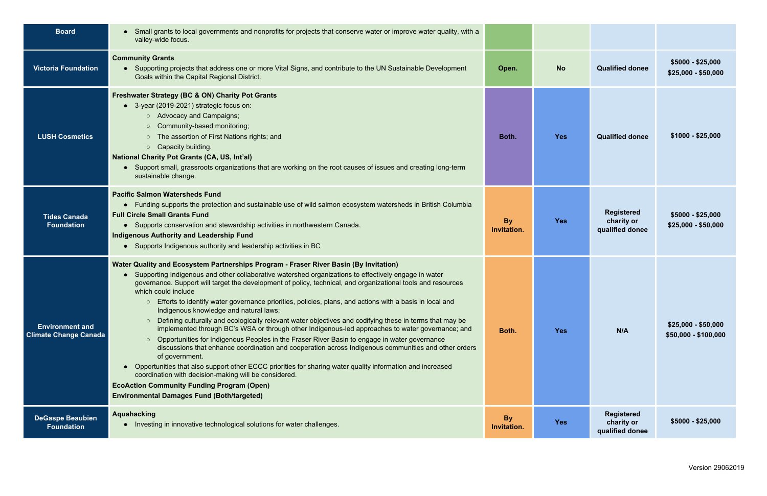| <b>Board</b>                                           | • Small grants to local governments and nonprofits for projects that conserve water or improve water quality, with a<br>valley-wide focus.                                                                                                                                                                                                                                                                                                                                                                                                                                                                                                                                                                                                                                                                                                                                                                                                                                                                                                                                                                                                                                                                                                            |                          |            |                                                    |                                             |
|--------------------------------------------------------|-------------------------------------------------------------------------------------------------------------------------------------------------------------------------------------------------------------------------------------------------------------------------------------------------------------------------------------------------------------------------------------------------------------------------------------------------------------------------------------------------------------------------------------------------------------------------------------------------------------------------------------------------------------------------------------------------------------------------------------------------------------------------------------------------------------------------------------------------------------------------------------------------------------------------------------------------------------------------------------------------------------------------------------------------------------------------------------------------------------------------------------------------------------------------------------------------------------------------------------------------------|--------------------------|------------|----------------------------------------------------|---------------------------------------------|
| <b>Victoria Foundation</b>                             | <b>Community Grants</b><br>• Supporting projects that address one or more Vital Signs, and contribute to the UN Sustainable Development<br>Goals within the Capital Regional District.                                                                                                                                                                                                                                                                                                                                                                                                                                                                                                                                                                                                                                                                                                                                                                                                                                                                                                                                                                                                                                                                | Open.                    | <b>No</b>  | <b>Qualified donee</b>                             | $$5000 - $25,000$<br>$$25,000 - $50,000$    |
| <b>LUSH Cosmetics</b>                                  | <b>Freshwater Strategy (BC &amp; ON) Charity Pot Grants</b><br>• 3-year (2019-2021) strategic focus on:<br>○ Advocacy and Campaigns;<br>○ Community-based monitoring;<br>• The assertion of First Nations rights; and<br>$\circ$ Capacity building.<br><b>National Charity Pot Grants (CA, US, Int'al)</b><br>• Support small, grassroots organizations that are working on the root causes of issues and creating long-term<br>sustainable change.                                                                                                                                                                                                                                                                                                                                                                                                                                                                                                                                                                                                                                                                                                                                                                                                   | Both.                    | <b>Yes</b> | <b>Qualified donee</b>                             | $$1000 - $25,000$                           |
| <b>Tides Canada</b><br><b>Foundation</b>               | <b>Pacific Salmon Watersheds Fund</b><br>• Funding supports the protection and sustainable use of wild salmon ecosystem watersheds in British Columbia<br><b>Full Circle Small Grants Fund</b><br>• Supports conservation and stewardship activities in northwestern Canada.<br><b>Indigenous Authority and Leadership Fund</b><br>• Supports Indigenous authority and leadership activities in BC                                                                                                                                                                                                                                                                                                                                                                                                                                                                                                                                                                                                                                                                                                                                                                                                                                                    | <b>By</b><br>invitation. | <b>Yes</b> | <b>Registered</b><br>charity or<br>qualified donee | $$5000 - $25,000$<br>$$25,000 - $50,000$    |
| <b>Environment and</b><br><b>Climate Change Canada</b> | Water Quality and Ecosystem Partnerships Program - Fraser River Basin (By Invitation)<br>Supporting Indigenous and other collaborative watershed organizations to effectively engage in water<br>governance. Support will target the development of policy, technical, and organizational tools and resources<br>which could include<br>Efforts to identify water governance priorities, policies, plans, and actions with a basis in local and<br>$\circ$<br>Indigenous knowledge and natural laws;<br>Defining culturally and ecologically relevant water objectives and codifying these in terms that may be<br>$\circ$<br>implemented through BC's WSA or through other Indigenous-led approaches to water governance; and<br>Opportunities for Indigenous Peoples in the Fraser River Basin to engage in water governance<br>$\circ$<br>discussions that enhance coordination and cooperation across Indigenous communities and other orders<br>of government.<br>• Opportunities that also support other ECCC priorities for sharing water quality information and increased<br>coordination with decision-making will be considered.<br><b>EcoAction Community Funding Program (Open)</b><br><b>Environmental Damages Fund (Both/targeted)</b> | Both.                    | <b>Yes</b> | N/A                                                | $$25,000 - $50,000$<br>$$50,000 - $100,000$ |
| <b>DeGaspe Beaubien</b><br>Foundation                  | <b>Aquahacking</b><br>• Investing in innovative technological solutions for water challenges.                                                                                                                                                                                                                                                                                                                                                                                                                                                                                                                                                                                                                                                                                                                                                                                                                                                                                                                                                                                                                                                                                                                                                         | <b>By</b><br>Invitation. | <b>Yes</b> | <b>Registered</b><br>charity or<br>qualified donee | $$5000 - $25,000$                           |

Version 29062019